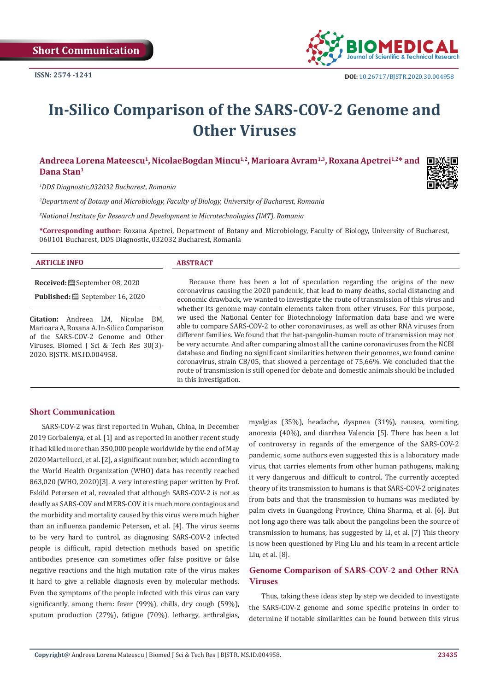

# **In-Silico Comparison of the SARS-COV-2 Genome and Other Viruses**

## Andreea Lorena Mateescu<sup>1</sup>, NicolaeBogdan Mincu<sup>1,2</sup>, Marioara Avram<sup>1,3</sup>, Roxana Apetrei<sup>1,2</sup>\* and **Dana Stan1**

*1 DDS Diagnostic,032032 Bucharest, Romania*

*2 Department of Botany and Microbiology, Faculty of Biology, University of Bucharest, Romania* 

*3 National Institute for Research and Development in Microtechnologies (IMT), Romania*

**\*Corresponding author:** Roxana Apetrei, Department of Botany and Microbiology, Faculty of Biology, University of Bucharest, 060101 Bucharest, DDS Diagnostic, 032032 Bucharest, Romania

| $\Box$ $\Box$ INFO<br><b>ARTIC</b><br>. | <b>STRACT</b> |
|-----------------------------------------|---------------|
|                                         |               |

**Received:** September 08, 2020

**Published:** ■ September 16, 2020

**Citation:** Andreea LM, Nicolae BM, Marioara A, Roxana A. In-Silico Comparison of the SARS-COV-2 Genome and Other Viruses. Biomed J Sci & Tech Res 30(3)- 2020. BJSTR. MS.ID.004958.

Because there has been a lot of speculation regarding the origins of the new coronavirus causing the 2020 pandemic, that lead to many deaths, social distancing and economic drawback, we wanted to investigate the route of transmission of this virus and whether its genome may contain elements taken from other viruses. For this purpose, we used the National Center for Biotechnology Information data base and we were able to compare SARS-COV-2 to other coronaviruses, as well as other RNA viruses from different families. We found that the bat-pangolin-human route of transmission may not be very accurate. And after comparing almost all the canine coronaviruses from the NCBI database and finding no significant similarities between their genomes, we found canine coronavirus, strain CB/05, that showed a percentage of 75,66%. We concluded that the route of transmission is still opened for debate and domestic animals should be included in this investigation.

## **Short Communication**

SARS-COV-2 was first reported in Wuhan, China, in December 2019 Gorbalenya, et al. [1] and as reported in another recent study it had killed more than 350,000 people worldwide by the end of May 2020 Martellucci, et al. [2], a significant number, which according to the World Health Organization (WHO) data has recently reached 863,020 (WHO, 2020)[3]. A very interesting paper written by Prof. Eskild Petersen et al, revealed that although SARS-COV-2 is not as deadly as SARS-COV and MERS-COV it is much more contagious and the morbidity and mortality caused by this virus were much higher than an influenza pandemic Petersen, et al. [4]. The virus seems to be very hard to control, as diagnosing SARS-COV-2 infected people is difficult, rapid detection methods based on specific antibodies presence can sometimes offer false positive or false negative reactions and the high mutation rate of the virus makes it hard to give a reliable diagnosis even by molecular methods. Even the symptoms of the people infected with this virus can vary significantly, among them: fever (99%), chills, dry cough (59%), sputum production (27%), fatigue (70%), lethargy, arthralgias,

myalgias (35%), headache, dyspnea (31%), nausea, vomiting, anorexia (40%), and diarrhea Valencia [5]. There has been a lot of controversy in regards of the emergence of the SARS-COV-2 pandemic, some authors even suggested this is a laboratory made virus, that carries elements from other human pathogens, making it very dangerous and difficult to control. The currently accepted theory of its transmission to humans is that SARS-COV-2 originates from bats and that the transmission to humans was mediated by palm civets in Guangdong Province, China Sharma, et al. [6]. But not long ago there was talk about the pangolins been the source of transmission to humans, has suggested by Li, et al. [7] This theory is now been questioned by Ping Liu and his team in a recent article Liu, et al. [8].

## **Genome Comparison of SARS-COV-2 and Other RNA Viruses**

Thus, taking these ideas step by step we decided to investigate the SARS-COV-2 genome and some specific proteins in order to determine if notable similarities can be found between this virus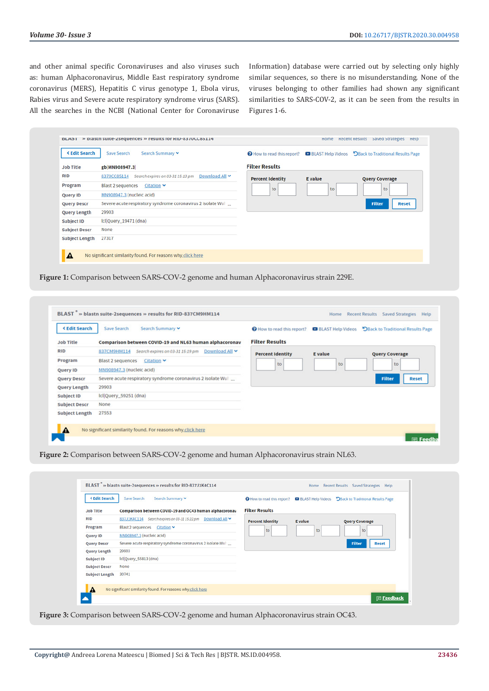and other animal specific Coronaviruses and also viruses such as: human Alphacoronavirus, Middle East respiratory syndrome coronavirus (MERS), Hepatitis C virus genotype 1, Ebola virus, Rabies virus and Severe acute respiratory syndrome virus (SARS). All the searches in the NCBI (National Center for Coronaviruse Information) database were carried out by selecting only highly similar sequences, so there is no misunderstanding. None of the viruses belonging to other families had shown any significant similarities to SARS-COV-2, as it can be seen from the results in Figures 1-6.

| <b><edit b="" search<=""></edit></b> | Search Summary v<br>Save Search                                   |                         |                | <b>O</b> How to read this report? <b>D</b> BLAST Help Videos DBack to Traditional Results Page |
|--------------------------------------|-------------------------------------------------------------------|-------------------------|----------------|------------------------------------------------------------------------------------------------|
| <b>Job Title</b>                     | gb MN908947.3                                                     | <b>Filter Results</b>   |                |                                                                                                |
| <b>RID</b>                           | Download All ~<br>Search expires on 03-31 15:13 pm<br>8370CC85114 | <b>Percent Identity</b> | <b>E</b> value | <b>Query Coverage</b>                                                                          |
| Program                              | <b>Blast 2 sequences</b><br>Citation $\blacktriangleright$        | to                      | to             | to                                                                                             |
| Query ID                             | MN908947.3 (nucleic acid)                                         |                         |                |                                                                                                |
| <b>Query Descr</b>                   | Severe acute respiratory syndrome coronavirus 2 isolate Wul       |                         |                | <b>Filter</b><br><b>Reset</b>                                                                  |
| <b>Query Length</b>                  | 29903                                                             |                         |                |                                                                                                |
| Subject ID                           | Icl Query_19471 (dna)                                             |                         |                |                                                                                                |
| <b>Subject Descr</b>                 | None                                                              |                         |                |                                                                                                |
| <b>Subject Length</b>                | 27317                                                             |                         |                |                                                                                                |

**Figure 1:** Comparison between SARS-COV-2 genome and human Alphacoronavirus strain 229E.

| <b>KEdit Search</b>   | Save Search<br>Search Summary V                                   | How to read this report? | <b>BLAST Help Videos</b> | DBack to Traditional Results Page |
|-----------------------|-------------------------------------------------------------------|--------------------------|--------------------------|-----------------------------------|
| <b>Job Title</b>      | Comparison between COVID-19 and NL63 human alphacoronav           | <b>Filter Results</b>    |                          |                                   |
| <b>RID</b>            | Download All Y<br>Search expires on 03-31 15:19 pm<br>837CM9HM114 | <b>Percent Identity</b>  | <b>E</b> value           | <b>Query Coverage</b>             |
| Program               | <b>Blast 2 sequences</b><br>$Citation$ $\blacktriangleright$      | to                       | to                       | to                                |
| Query ID              | MN908947.3 (nucleic acid)                                         |                          |                          |                                   |
| <b>Query Descr</b>    | Severe acute respiratory syndrome coronavirus 2 isolate Wul       |                          |                          | Filter<br><b>Reset</b>            |
| Query Length          | 29903                                                             |                          |                          |                                   |
| Subject ID            | Icl Query_59251 (dna)                                             |                          |                          |                                   |
| <b>Subject Descr</b>  | None                                                              |                          |                          |                                   |
| <b>Subject Length</b> | 27553                                                             |                          |                          |                                   |

**Figure 2:** Comparison between SARS-COV-2 genome and human Alphacoronavirus strain NL63.

| <b><edit b="" search<=""></edit></b> | Search Summary V                                            |                         |                | O How to read this report? DBLAST Help Videos DBack to Traditional Results Page |
|--------------------------------------|-------------------------------------------------------------|-------------------------|----------------|---------------------------------------------------------------------------------|
| <b>Job Title</b>                     | Comparison between COVID-19 and OC43 human alphacoronav     | <b>Filter Results</b>   |                |                                                                                 |
| <b>RID</b>                           | 837J1K4C114 Search expires on 03-31 15:22 pm Download All ₩ | <b>Percent Identity</b> | <b>E</b> value | <b>Query Coverage</b>                                                           |
| Program                              | Blast 2 sequences Citation v                                | to                      | to             | to                                                                              |
| Query ID                             | MN908947.3 (nucleic acid)                                   |                         |                |                                                                                 |
| <b>Query Descr</b>                   | Severe acute respiratory syndrome coronavirus 2 isolate Wul |                         |                | Filter<br><b>Reset</b>                                                          |
| <b>Query Length</b>                  | 29903                                                       |                         |                |                                                                                 |
| Subject ID                           | Icl Query_55813 (dna)                                       |                         |                |                                                                                 |
| <b>Subject Descr</b>                 | None                                                        |                         |                |                                                                                 |
| <b>Subject Length</b>                | 30741                                                       |                         |                |                                                                                 |
| A                                    | No significant similarity found. For reasons why click here |                         |                |                                                                                 |

**Figure 3:** Comparison between SARS-COV-2 genome and human Alphacoronavirus strain OC43.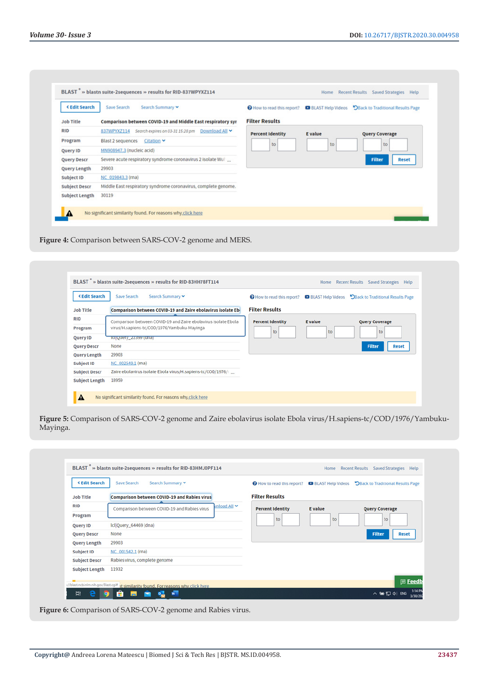| <b><edit b="" search<=""></edit></b> | Search Summary v<br>Save Search                                |                         |                | <b>O</b> How to read this report? <b>D</b> BLAST Help Videos <b>D</b> Back to Traditional Results Page |
|--------------------------------------|----------------------------------------------------------------|-------------------------|----------------|--------------------------------------------------------------------------------------------------------|
| <b>Job Title</b>                     | Comparison between COVID-19 and Middle East respiratory syr    | <b>Filter Results</b>   |                |                                                                                                        |
| <b>RID</b>                           | 837WPYXZ114 Search expires on 03-31 15:28 pm<br>Download All Y | <b>Percent Identity</b> | <b>E</b> value | <b>Query Coverage</b>                                                                                  |
| Program                              | <b>Blast 2 sequences</b><br>Citation V                         | to                      | to             | to                                                                                                     |
| Query ID                             | MN908947.3 (nucleic acid)                                      |                         |                |                                                                                                        |
| <b>Query Descr</b>                   | Severe acute respiratory syndrome coronavirus 2 isolate Wuller |                         |                | <b>Filter</b><br><b>Reset</b>                                                                          |
| <b>Query Length</b>                  | 29903                                                          |                         |                |                                                                                                        |
| Subject ID                           | NC 019843.3 (rna)                                              |                         |                |                                                                                                        |
| <b>Subject Descr</b>                 | Middle East respiratory syndrome coronavirus, complete genome. |                         |                |                                                                                                        |
| <b>Subject Length</b>                | 30119                                                          |                         |                |                                                                                                        |

**Figure 4:** Comparison between SARS-COV-2 genome and MERS.

| <b><edit b="" search<=""></edit></b> | Search Summary v<br>Save Search                                |                         |         | <b>O</b> How to read this report? <b>D</b> BLAST Help Videos DBack to Traditional Results Page |
|--------------------------------------|----------------------------------------------------------------|-------------------------|---------|------------------------------------------------------------------------------------------------|
| <b>Job Title</b>                     | Comparison between COVID-19 and Zaire ebolavirus isolate Ebi   | <b>Filter Results</b>   |         |                                                                                                |
| <b>RID</b>                           | Comparison between COVID-19 and Zaire ebolavirus isolate Ebola | <b>Percent Identity</b> | E value | <b>Query Coverage</b>                                                                          |
| Program                              | virus/H.sapiens-tc/COD/1976/Yambuku-Mayinga                    | to                      | to      | to                                                                                             |
| Query ID                             | TCTQuery_22399 (ana)                                           |                         |         |                                                                                                |
| <b>Query Descr</b>                   | None                                                           |                         |         | <b>Filter</b><br><b>Reset</b>                                                                  |
| <b>Query Length</b>                  | 29903                                                          |                         |         |                                                                                                |
| Subject ID                           | NC 002549.1 (rna)                                              |                         |         |                                                                                                |
| <b>Subject Descr</b>                 | Zaire ebolavirus isolate Ebola virus/H.sapiens-tc/COD/1976/\   |                         |         |                                                                                                |
| <b>Subject Length</b>                | 18959                                                          |                         |         |                                                                                                |

**Figure 5:** Comparison of SARS-COV-2 genome and Zaire ebolavirus isolate Ebola virus/H.sapiens-tc/COD/1976/Yambuku-Mayinga.

| <b>KEdit Search</b>   | Save Search<br>Search Summary V                             | How to read this report? | <b>BLAST Help Videos</b> | <b>DBack to Traditional Results Page</b> |
|-----------------------|-------------------------------------------------------------|--------------------------|--------------------------|------------------------------------------|
| <b>Job Title</b>      | Comparison between COVID-19 and Rabies virus                | <b>Filter Results</b>    |                          |                                          |
| <b>RID</b>            | whoad All Y<br>Comparison between COVID-19 and Rabies virus | <b>Percent Identity</b>  | <b>E</b> value           | <b>Query Coverage</b>                    |
| Program               |                                                             | to                       | to                       | to                                       |
| Query ID              | Icl Query_64469 (dna)                                       |                          |                          |                                          |
| <b>Query Descr</b>    | None                                                        |                          |                          | <b>Filter</b><br><b>Reset</b>            |
| Query Length          | 29903                                                       |                          |                          |                                          |
| Subject ID            | NC 001542.1 (rna)                                           |                          |                          |                                          |
| <b>Subject Descr</b>  | Rabies virus, complete genome                               |                          |                          |                                          |
| <b>Subject Length</b> | 11932                                                       |                          |                          |                                          |

Figure 6: Comparison of SARS-COV-2 genome and Rabies virus.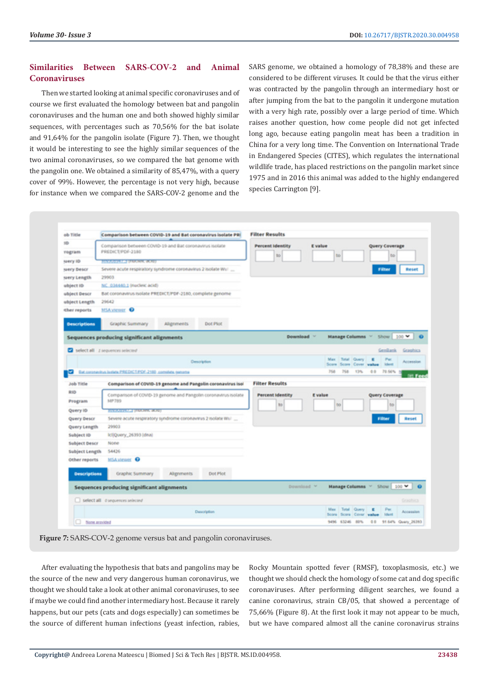## **Similarities Between SARS-COV-2 and Animal Coronaviruses**

Then we started looking at animal specific coronaviruses and of course we first evaluated the homology between bat and pangolin coronaviruses and the human one and both showed highly similar sequences, with percentages such as 70,56% for the bat isolate and 91,64% for the pangolin isolate (Figure 7). Then, we thought it would be interesting to see the highly similar sequences of the two animal coronaviruses, so we compared the bat genome with the pangolin one. We obtained a similarity of 85,47%, with a query cover of 99%. However, the percentage is not very high, because for instance when we compared the SARS-COV-2 genome and the

SARS genome, we obtained a homology of 78,38% and these are considered to be different viruses. It could be that the virus either was contracted by the pangolin through an intermediary host or after jumping from the bat to the pangolin it undergone mutation with a very high rate, possibly over a large period of time. Which raises another question, how come people did not get infected long ago, because eating pangolin meat has been a tradition in China for a very long time. The Convention on International Trade in Endangered Species (CITES), which regulates the international wildlife trade, has placed restrictions on the pangolin market since 1975 and in 2016 this animal was added to the highly endangered species Carrington [9].



**Figure 7:** SARS-COV-2 genome versus bat and pangolin coronaviruses.

After evaluating the hypothesis that bats and pangolins may be the source of the new and very dangerous human coronavirus, we thought we should take a look at other animal coronaviruses, to see if maybe we could find another intermediary host. Because it rarely happens, but our pets (cats and dogs especially) can sometimes be the source of different human infections (yeast infection, rabies,

Rocky Mountain spotted fever (RMSF), toxoplasmosis, etc.) we thought we should check the homology of some cat and dog specific coronaviruses. After performing diligent searches, we found a canine coronavirus, strain CB/05, that showed a percentage of 75,66% (Figure 8). At the first look it may not appear to be much, but we have compared almost all the canine coronavirus strains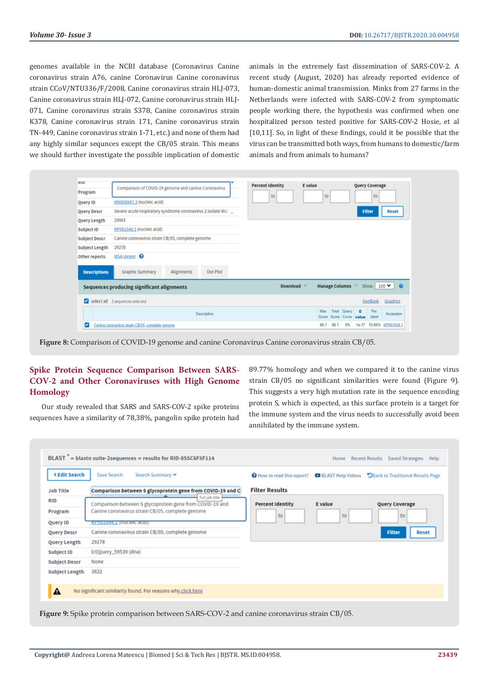genomes available in the NCBI database (Coronavirus Canine coronavirus strain A76, canine Coronavirus Canine coronavirus strain CCoV/NTU336/F/2008, Canine coronavirus strain HLJ-073, Canine coronavirus strain HLJ-072, Canine coronavirus strain HLJ-071, Canine coronavirus strain S378, Canine coronavirus strain K378, Canine coronavirus strain 171, Canine coronavirus strain TN-449, Canine coronavirus strain 1-71, etc.) and none of them had any highly similar sequnces except the CB/05 strain. This means we should further investigate the possible implication of domestic animals in the extremely fast dissemination of SARS-COV-2. A recent study (August, 2020) has already reported evidence of human-domestic animal transmission. Minks from 27 farms in the Netherlands were infected with SARS-COV-2 from symptomatic people working there, the hypothesis was confirmed when one hospitalized person tested positive for SARS-COV-2 Hosie, et al [10,11]. So, in light of these findings, could it be possible that the virus can be transmitted both ways, from humans to domestic/farm animals and from animals to humans?

| <b>KIU</b>            |                                                             | <b>Percent Identity</b><br><b>E</b> value<br><b>Query Coverage</b>                    |
|-----------------------|-------------------------------------------------------------|---------------------------------------------------------------------------------------|
| Program               | Comparison of COVID-19 genome and canine Coronavirus        | to<br>to<br>to                                                                        |
| Query ID              | MN908947.3 (nucleic acid)                                   |                                                                                       |
| <b>Query Descr</b>    | Severe acute respiratory syndrome coronavirus 2 isolate Wul | Filter<br><b>Reset</b>                                                                |
| Query Length          | 29903                                                       |                                                                                       |
| Subject ID            | KP981644.1 (nucleic acid)                                   |                                                                                       |
| <b>Subject Descr</b>  | Canine coronavirus strain CB/05, complete genome            |                                                                                       |
| <b>Subject Length</b> | 29278                                                       |                                                                                       |
| Other reports         | MSA viewer <sup>O</sup>                                     |                                                                                       |
| <b>Descriptions</b>   | Dot Plot<br>Graphic Summary<br>Alignments                   |                                                                                       |
|                       | Sequences producing significant alignments                  | Show $100 \vee$ $\odot$<br>Manage Columns V<br>Download V                             |
|                       | Select all 1 sequences selected                             | GenBank<br>Graphics                                                                   |
|                       | Description                                                 | Per<br>Total<br>Query<br>E<br>Max<br>Accession<br>Score Cover value<br>Ident<br>Score |
| ☑                     | Canine coronavirus strain CB/05, complete genome            | 86.1<br>86.1<br>1e-17 75.66% KP981644.1<br>0%                                         |

**Figure 8:** Comparison of COVID-19 genome and canine Coronavirus Canine coronavirus strain CB/05.

## **Spike Protein Sequence Comparison Between SARS-COV-2 and Other Coronaviruses with High Genome Homology**

Our study revealed that SARS and SARS-COV-2 spike proteins sequences have a similarity of 78,38%, pangolin spike protein had 89.77% homology and when we compared it to the canine virus strain CB/05 no significant similarities were found (Figure 9). This suggests a very high mutation rate in the sequence encoding protein S, which is expected, as this surface protein is a target for the immune system and the virus needs to successfully avoid been annihilated by the immune system.

| <b>KEdit Search</b>  | Save Search<br>Search Summary Y                                            | How to read this report? | <b>BLAST Help Videos</b> | DBack to Traditional Results Page |
|----------------------|----------------------------------------------------------------------------|--------------------------|--------------------------|-----------------------------------|
| <b>Job Title</b>     | Comparison between S glycoprotein gene from COVID-19 and C                 | <b>Filter Results</b>    |                          |                                   |
| <b>RID</b>           | Full job title<br>Comparison between S glycoprotein gene from COVID-19 and | <b>Percent Identity</b>  | <b>E</b> value           | <b>Query Coverage</b>             |
| Program              | Canine coronavirus strain CB/05, complete genome                           | to                       | to                       | to                                |
| Query ID             | мезаточч. типистетс асто)                                                  |                          |                          |                                   |
| <b>Query Descr</b>   | Canine coronavirus strain CB/05, complete genome                           |                          |                          | <b>Filter</b><br><b>Reset</b>     |
| Query Length         | 29278                                                                      |                          |                          |                                   |
| Subject ID           | Icl Query_59539 (dna)                                                      |                          |                          |                                   |
| <b>Subject Descr</b> | None                                                                       |                          |                          |                                   |
| Subject Length       | 3822                                                                       |                          |                          |                                   |
|                      |                                                                            |                          |                          |                                   |
| $\blacktriangle$     | No significant similarity found. For reasons why click here                |                          |                          |                                   |